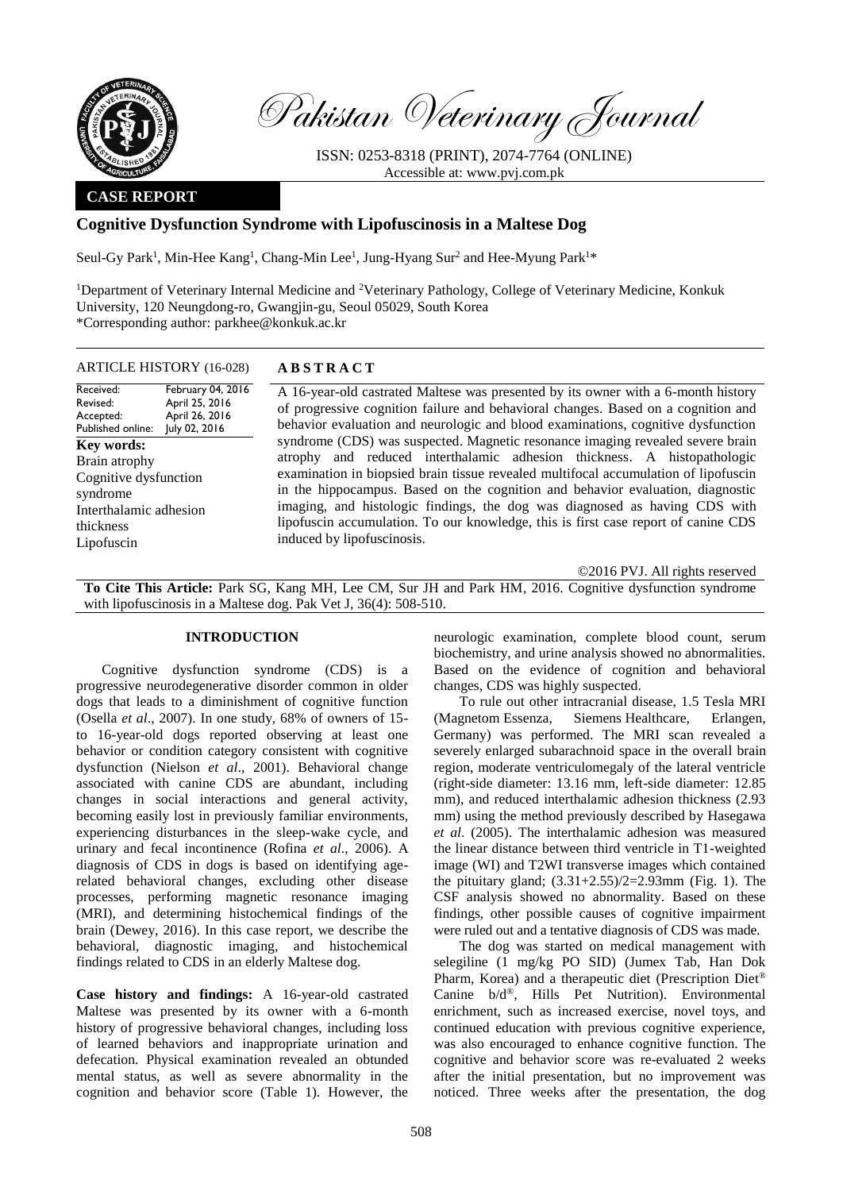

Pakistan Veterinary Journal

ISSN: 0253-8318 (PRINT), 2074-7764 (ONLINE) Accessible at: [www.pvj.com.pk](http://www.pvj.com.pk/)

## **CASE REPORT**

# **Cognitive Dysfunction Syndrome with Lipofuscinosis in a Maltese Dog**

Seul-Gy Park<sup>1</sup>, Min-Hee Kang<sup>1</sup>, Chang-Min Lee<sup>1</sup>, Jung-Hyang Sur<sup>2</sup> and Hee-Myung Park<sup>1\*</sup>

<sup>1</sup>Department of Veterinary Internal Medicine and <sup>2</sup>Veterinary Pathology, College of Veterinary Medicine, Konkuk University, 120 Neungdong-ro, Gwangjin-gu, Seoul 05029, South Korea \*Corresponding author: parkhee@konkuk.ac.kr

### ARTICLE HISTORY (16-028) **A B S T R A C T**

Received: Revised: Accepted: Published online: February 04, 2016 April 25, 2016 April 26, 2016 July 02, 2016 **Key words:**  Brain atrophy Cognitive dysfunction syndrome Interthalamic adhesion thickness Lipofuscin

A 16-year-old castrated Maltese was presented by its owner with a 6-month history of progressive cognition failure and behavioral changes. Based on a cognition and behavior evaluation and neurologic and blood examinations, cognitive dysfunction syndrome (CDS) was suspected. Magnetic resonance imaging revealed severe brain atrophy and reduced interthalamic adhesion thickness. A histopathologic examination in biopsied brain tissue revealed multifocal accumulation of lipofuscin in the hippocampus. Based on the cognition and behavior evaluation, diagnostic imaging, and histologic findings, the dog was diagnosed as having CDS with lipofuscin accumulation. To our knowledge, this is first case report of canine CDS induced by lipofuscinosis.

©2016 PVJ. All rights reserved

**To Cite This Article:** Park SG, Kang MH, Lee CM, Sur JH and Park HM, 2016. Cognitive dysfunction syndrome with lipofuscinosis in a Maltese dog. Pak Vet J, 36(4): 508-510.

## **INTRODUCTION**

Cognitive dysfunction syndrome (CDS) is a progressive neurodegenerative disorder common in older dogs that leads to a diminishment of cognitive function (Osella *et al*., 2007). In one study, 68% of owners of 15 to 16-year-old dogs reported observing at least one behavior or condition category consistent with cognitive dysfunction (Nielson *et al*., 2001). Behavioral change associated with canine CDS are abundant, including changes in social interactions and general activity, becoming easily lost in previously familiar environments, experiencing disturbances in the sleep-wake cycle, and urinary and fecal incontinence (Rofina *et al*., 2006). A diagnosis of CDS in dogs is based on identifying agerelated behavioral changes, excluding other disease processes, performing magnetic resonance imaging (MRI), and determining histochemical findings of the brain (Dewey, 2016). In this case report, we describe the behavioral, diagnostic imaging, and histochemical findings related to CDS in an elderly Maltese dog.

**Case history and findings:** A 16-year-old castrated Maltese was presented by its owner with a 6-month history of progressive behavioral changes, including loss of learned behaviors and inappropriate urination and defecation. Physical examination revealed an obtunded mental status, as well as severe abnormality in the cognition and behavior score (Table 1). However, the

neurologic examination, complete blood count, serum biochemistry, and urine analysis showed no abnormalities. Based on the evidence of cognition and behavioral changes, CDS was highly suspected.

To rule out other intracranial disease, 1.5 Tesla MRI (Magnetom Essenza, Siemens Healthcare, Erlangen, Germany) was performed. The MRI scan revealed a severely enlarged subarachnoid space in the overall brain region, moderate ventriculomegaly of the lateral ventricle (right-side diameter: 13.16 mm, left-side diameter: 12.85 mm), and reduced interthalamic adhesion thickness (2.93 mm) using the method previously described by Hasegawa *et al*. (2005). The interthalamic adhesion was measured the linear distance between third ventricle in T1-weighted image (WI) and T2WI transverse images which contained the pituitary gland;  $(3.31+2.55)/2=2.93$ mm (Fig. 1). The CSF analysis showed no abnormality. Based on these findings, other possible causes of cognitive impairment were ruled out and a tentative diagnosis of CDS was made.

The dog was started on medical management with selegiline (1 mg/kg PO SID) (Jumex Tab, Han Dok Pharm, Korea) and a therapeutic diet (Prescription Diet® Canine b/d®, Hills Pet Nutrition). Environmental enrichment, such as increased exercise, novel toys, and continued education with previous cognitive experience, was also encouraged to enhance cognitive function. The cognitive and behavior score was re-evaluated 2 weeks after the initial presentation, but no improvement was noticed. Three weeks after the presentation, the dog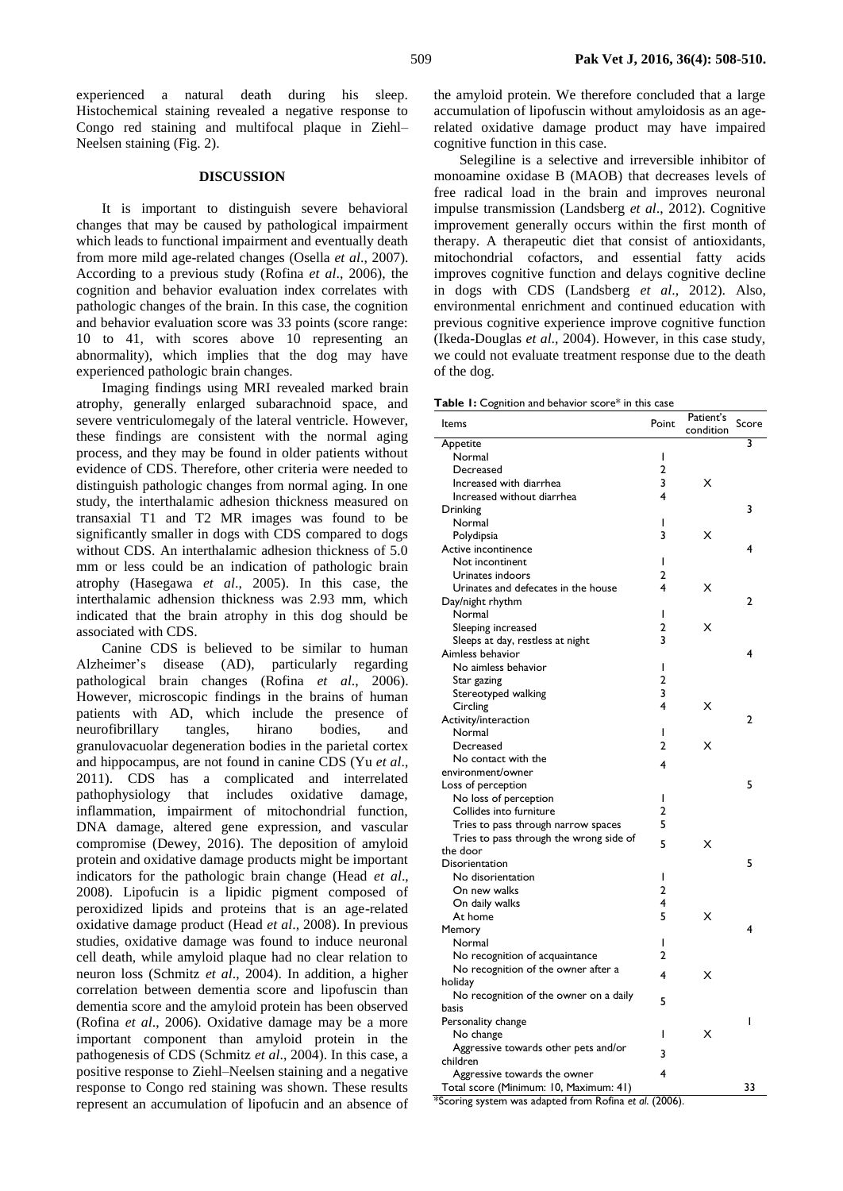experienced a natural death during his sleep. Histochemical staining revealed a negative response to Congo red staining and multifocal plaque in Ziehl– Neelsen staining (Fig. 2).

### **DISCUSSION**

It is important to distinguish severe behavioral changes that may be caused by pathological impairment which leads to functional impairment and eventually death from more mild age-related changes (Osella *et al*., 2007). According to a previous study (Rofina *et al*., 2006), the cognition and behavior evaluation index correlates with pathologic changes of the brain. In this case, the cognition and behavior evaluation score was 33 points (score range: 10 to 41, with scores above 10 representing an abnormality), which implies that the dog may have experienced pathologic brain changes.

Imaging findings using MRI revealed marked brain atrophy, generally enlarged subarachnoid space, and severe ventriculomegaly of the lateral ventricle. However, these findings are consistent with the normal aging process, and they may be found in older patients without evidence of CDS. Therefore, other criteria were needed to distinguish pathologic changes from normal aging. In one study, the interthalamic adhesion thickness measured on transaxial T1 and T2 MR images was found to be significantly smaller in dogs with CDS compared to dogs without CDS. An interthalamic adhesion thickness of 5.0 mm or less could be an indication of pathologic brain atrophy (Hasegawa *et al*., 2005). In this case, the interthalamic adhension thickness was 2.93 mm, which indicated that the brain atrophy in this dog should be associated with CDS.

Canine CDS is believed to be similar to human Alzheimer's disease (AD), particularly regarding pathological brain changes (Rofina *et al*., 2006). However, microscopic findings in the brains of human patients with AD, which include the presence of neurofibrillary tangles, hirano bodies, and granulovacuolar degeneration bodies in the parietal cortex and hippocampus, are not found in canine CDS (Yu *et al*., 2011). CDS has a complicated and interrelated pathophysiology that includes oxidative damage, inflammation, impairment of mitochondrial function, DNA damage, altered gene expression, and vascular compromise (Dewey, 2016). The deposition of amyloid protein and oxidative damage products might be important indicators for the pathologic brain change (Head *et al*., 2008). Lipofucin is a lipidic pigment composed of peroxidized lipids and proteins that is an age-related oxidative damage product (Head *et al*., 2008). In previous studies, oxidative damage was found to induce neuronal cell death, while amyloid plaque had no clear relation to neuron loss (Schmitz *et al*., 2004). In addition, a higher correlation between dementia score and lipofuscin than dementia score and the amyloid protein has been observed (Rofina *et al*., 2006). Oxidative damage may be a more important component than amyloid protein in the pathogenesis of CDS (Schmitz *et al*., 2004). In this case, a positive response to Ziehl–Neelsen staining and a negative response to Congo red staining was shown. These results represent an accumulation of lipofucin and an absence of

the amyloid protein. We therefore concluded that a large accumulation of lipofuscin without amyloidosis as an agerelated oxidative damage product may have impaired cognitive function in this case.

Selegiline is a selective and irreversible inhibitor of monoamine oxidase B (MAOB) that decreases levels of free radical load in the brain and improves neuronal impulse transmission (Landsberg *et al*., 2012). Cognitive improvement generally occurs within the first month of therapy. A therapeutic diet that consist of antioxidants, mitochondrial cofactors, and essential fatty acids improves cognitive function and delays cognitive decline in dogs with CDS (Landsberg *et al*., 2012). Also, environmental enrichment and continued education with previous cognitive experience improve cognitive function (Ikeda-Douglas *et al*., 2004). However, in this case study, we could not evaluate treatment response due to the death of the dog.

|  |  | Table 1: Cognition and behavior score* in this case |  |  |  |  |  |  |
|--|--|-----------------------------------------------------|--|--|--|--|--|--|
|--|--|-----------------------------------------------------|--|--|--|--|--|--|

| Items                                   | Point          | Patient's<br>Score |                |
|-----------------------------------------|----------------|--------------------|----------------|
|                                         |                | condition          |                |
| Appetite                                |                |                    | 3              |
| Normal                                  | I              |                    |                |
| Decreased                               | $\overline{2}$ |                    |                |
| Increased with diarrhea                 | 3              | x                  |                |
| Increased without diarrhea              | 4              |                    |                |
| Drinking                                |                |                    | 3              |
| Normal                                  | I              |                    |                |
| Polydipsia                              | 3              | x                  |                |
| Active incontinence                     |                |                    | 4              |
| Not incontinent                         | ı              |                    |                |
| Urinates indoors                        | 2              |                    |                |
| Urinates and defecates in the house     | 4              | х                  |                |
| Day/night rhythm                        |                |                    | 2              |
| Normal                                  | I              |                    |                |
| Sleeping increased                      | 2              | x                  |                |
| Sleeps at day, restless at night        | 3              |                    |                |
| Aimless behavior                        |                |                    | 4              |
|                                         | I              |                    |                |
| No aimless behavior                     | $\overline{a}$ |                    |                |
| Star gazing                             |                |                    |                |
| Stereotyped walking                     | 3<br>4         |                    |                |
| Circling                                |                | x                  |                |
| Activity/interaction                    |                |                    | $\overline{2}$ |
| Normal                                  | I              |                    |                |
| Decreased                               | 2              | х                  |                |
| No contact with the                     | 4              |                    |                |
| environment/owner                       |                |                    |                |
| Loss of perception                      |                |                    | 5              |
| No loss of perception                   | I              |                    |                |
| Collides into furniture                 | 2              |                    |                |
| Tries to pass through narrow spaces     | 5              |                    |                |
| Tries to pass through the wrong side of | 5              | х                  |                |
| the door                                |                |                    |                |
| Disorientation                          |                |                    | 5              |
| No disorientation                       | I              |                    |                |
| On new walks                            | 2              |                    |                |
| On daily walks                          | 4              |                    |                |
| At home                                 | 5              | x                  |                |
| Memory                                  |                |                    | 4              |
| Normal                                  | I              |                    |                |
| No recognition of acquaintance          | 2              |                    |                |
| No recognition of the owner after a     | 4              | x                  |                |
| holiday                                 |                |                    |                |
| No recognition of the owner on a daily  | 5              |                    |                |
| basis                                   |                |                    |                |
| Personality change                      |                |                    | ı              |
| No change                               | ı              | x                  |                |
| Aggressive towards other pets and/or    |                |                    |                |
| children                                | 3              |                    |                |
| Aggressive towards the owner            | 4              |                    |                |
| Total score (Minimum: 10, Maximum: 41)  |                |                    | 33             |

\*Scoring system was adapted from Rofina *et al*. (2006).